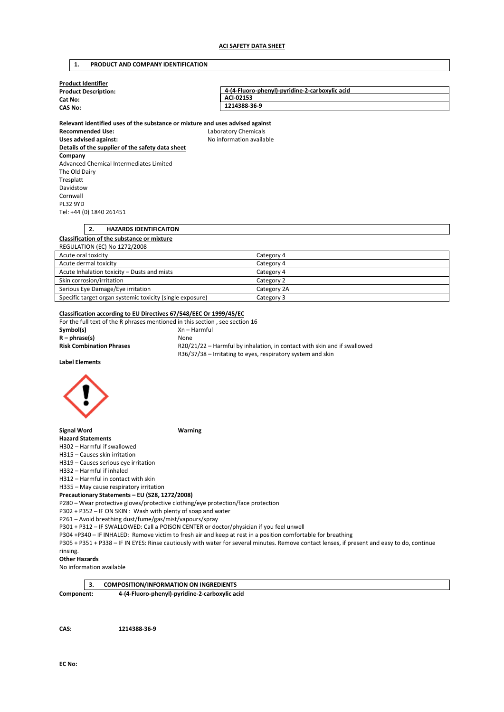# **1. PRODUCT AND COMPANY IDENTIFICATION**

| <b>Product Identifier</b>                                                     |                          |                                                                          |
|-------------------------------------------------------------------------------|--------------------------|--------------------------------------------------------------------------|
| <b>Product Description:</b>                                                   |                          | 4-(4-Fluoro-phenyl)-pyridine-2-carboxylic acid                           |
| Cat No:                                                                       | ACI-02153                |                                                                          |
| <b>CAS No:</b>                                                                | 1214388-36-9             |                                                                          |
|                                                                               |                          |                                                                          |
| Relevant identified uses of the substance or mixture and uses advised against |                          |                                                                          |
| <b>Recommended Use:</b>                                                       | Laboratory Chemicals     |                                                                          |
| <b>Uses advised against:</b>                                                  | No information available |                                                                          |
| Details of the supplier of the safety data sheet                              |                          |                                                                          |
| Company                                                                       |                          |                                                                          |
| Advanced Chemical Intermediates Limited                                       |                          |                                                                          |
| The Old Dairy                                                                 |                          |                                                                          |
| Tresplatt                                                                     |                          |                                                                          |
| Davidstow                                                                     |                          |                                                                          |
| Cornwall                                                                      |                          |                                                                          |
| <b>PL32 9YD</b>                                                               |                          |                                                                          |
| Tel: +44 (0) 1840 261451                                                      |                          |                                                                          |
|                                                                               |                          |                                                                          |
| 2.<br><b>HAZARDS IDENTIFICAITON</b>                                           |                          |                                                                          |
| Classification of the substance or mixture                                    |                          |                                                                          |
| <b>REGULATION (EC) No 1272/2008</b>                                           |                          |                                                                          |
| Acute oral toxicity                                                           |                          | Category 4                                                               |
| Acute dermal toxicity                                                         |                          | Category 4                                                               |
| Acute Inhalation toxicity - Dusts and mists                                   |                          | Category 4                                                               |
| Skin corrosion/irritation                                                     |                          | Category 2                                                               |
| Serious Eye Damage/Eye irritation                                             |                          | Category 2A                                                              |
| Specific target organ systemic toxicity (single exposure)                     |                          | Category 3                                                               |
|                                                                               |                          |                                                                          |
| Classification according to EU Directives 67/548/EEC Or 1999/45/EC            |                          |                                                                          |
| For the full text of the R phrases mentioned in this section, see section 16  |                          |                                                                          |
| Symbol(s)                                                                     | $Xn - Harmful$           |                                                                          |
| $R - phrase(s)$                                                               | None                     |                                                                          |
| <b>Risk Combination Phrases</b>                                               |                          | R20/21/22 - Harmful by inhalation, in contact with skin and if swallowed |
|                                                                               |                          | R36/37/38 - Irritating to eyes, respiratory system and skin              |
| <b>Label Elements</b>                                                         |                          |                                                                          |
|                                                                               |                          |                                                                          |

**Signal Word Warning** 

**Hazard Statements**  H302 – Harmful if swallowed

H315 – Causes skin irritation

H319 – Causes serious eye irritation

H332 – Harmful if inhaled

H312 – Harmful in contact with skin

H335 – May cause respiratory irritation

# **Precautionary Statements – EU (S28, 1272/2008)**

P280 – Wear protective gloves/protective clothing/eye protection/face protection

P302 + P352 – IF ON SKIN : Wash with plenty of soap and water

P261 – Avoid breathing dust/fume/gas/mist/vapours/spray

P301 + P312 – IF SWALLOWED: Call a POISON CENTER or doctor/physician if you feel unwell

P304 +P340 – IF INHALED: Remove victim to fresh air and keep at rest in a position comfortable for breathing

P305 + P351 + P338 – IF IN EYES: Rinse cautiously with water for several minutes. Remove contact lenses, if present and easy to do, continue

#### rinsing. **Other Hazards**

No information available

|            | <b>COMPOSITION/INFORMATION ON INGREDIENTS</b>  |
|------------|------------------------------------------------|
| Component: | 4-(4-Fluoro-phenyl)-pyridine-2-carboxylic acid |

**CAS: 1214388-36-9**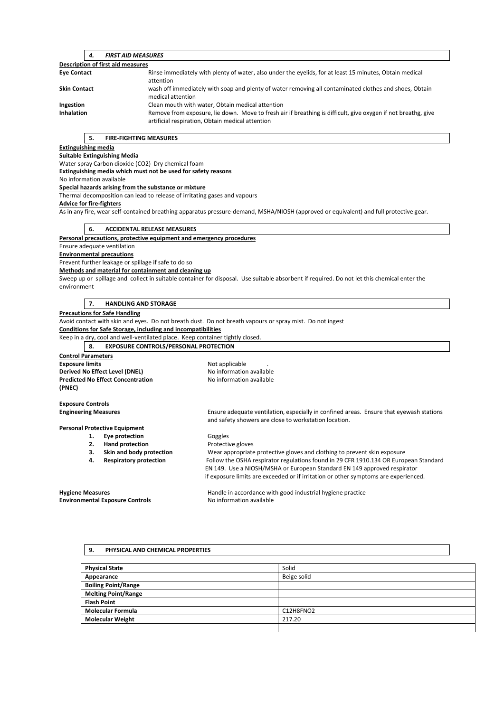| 4.                                | <b>FIRST AID MEASURES</b>                                                                                                                                         |  |  |  |
|-----------------------------------|-------------------------------------------------------------------------------------------------------------------------------------------------------------------|--|--|--|
| Description of first aid measures |                                                                                                                                                                   |  |  |  |
| <b>Eye Contact</b>                | Rinse immediately with plenty of water, also under the eyelids, for at least 15 minutes, Obtain medical<br>attention                                              |  |  |  |
| <b>Skin Contact</b>               | wash off immediately with soap and plenty of water removing all contaminated clothes and shoes, Obtain<br>medical attention                                       |  |  |  |
| Ingestion                         | Clean mouth with water, Obtain medical attention                                                                                                                  |  |  |  |
| <b>Inhalation</b>                 | Remove from exposure, lie down. Move to fresh air if breathing is difficult, give oxygen if not breathg, give<br>artificial respiration, Obtain medical attention |  |  |  |

### **5. FIRE-FIGHTING MEASURES**

### **Extinguishing media**

**Suitable Extinguishing Media** 

Water spray Carbon dioxide (CO2) Dry chemical foam

**Extinguishing media which must not be used for safety reasons** 

No information available

#### **Special hazards arising from the substance or mixture**

Thermal decomposition can lead to release of irritating gases and vapours

# **Advice for fire-fighters**

As in any fire, wear self-contained breathing apparatus pressure-demand, MSHA/NIOSH (approved or equivalent) and full protective gear.

### **6. ACCIDENTAL RELEASE MEASURES**

### **Personal precautions, protective equipment and emergency procedures**

Ensure adequate ventilation

**Environmental precautions** 

Prevent further leakage or spillage if safe to do so

#### **Methods and material for containment and cleaning up**

Sweep up or spillage and collect in suitable container for disposal. Use suitable absorbent if required. Do not let this chemical enter the environment

#### **7. HANDLING AND STORAGE**

#### **Precautions for Safe Handling**

Avoid contact with skin and eyes. Do not breath dust. Do not breath vapours or spray mist. Do not ingest

**Conditions for Safe Storage, including and incompatibilities** 

Keep in a dry, cool and well-ventilated place. Keep container tightly closed.

**8. EXPOSURE CONTROLS/PERSONAL PROTECTION** 

| <b>Control Parameters</b>                |                          |
|------------------------------------------|--------------------------|
| <b>Exposure limits</b>                   | Not applicable           |
| Derived No Effect Level (DNEL)           | No information available |
| <b>Predicted No Effect Concentration</b> | No information available |
| (PNEC)                                   |                          |

#### **Exposure Controls**

**Engineering Measures** Ensure adequate ventilation, especially in confined areas. Ensure that eyewash stations

**Personal Protective Equipment** 

- 1. **Eye protection Goggles**
- **2. Hand protection Protective gloves**
- 
- -

**3. Skin and body protection** Wear appropriate protective gloves and clothing to prevent skin exposure **4. Respiratory protection** Follow the OSHA respirator regulations found in 29 CFR 1910.134 OR European Standard EN 149. Use a NIOSH/MSHA or European Standard EN 149 approved respirator if exposure limits are exceeded or if irritation or other symptoms are experienced.

**Hygiene Measures** Handle in accordance with good industrial hygiene practice **Environmental Exposure Controls No information available** 

and safety showers are close to workstation location.

#### **9. PHYSICAL AND CHEMICAL PROPERTIES**

| <b>Physical State</b>      | Solid       |
|----------------------------|-------------|
| Appearance                 | Beige solid |
| <b>Boiling Point/Range</b> |             |
| <b>Melting Point/Range</b> |             |
| <b>Flash Point</b>         |             |
| <b>Molecular Formula</b>   | C12H8FNO2   |
| <b>Molecular Weight</b>    | 217.20      |
|                            |             |